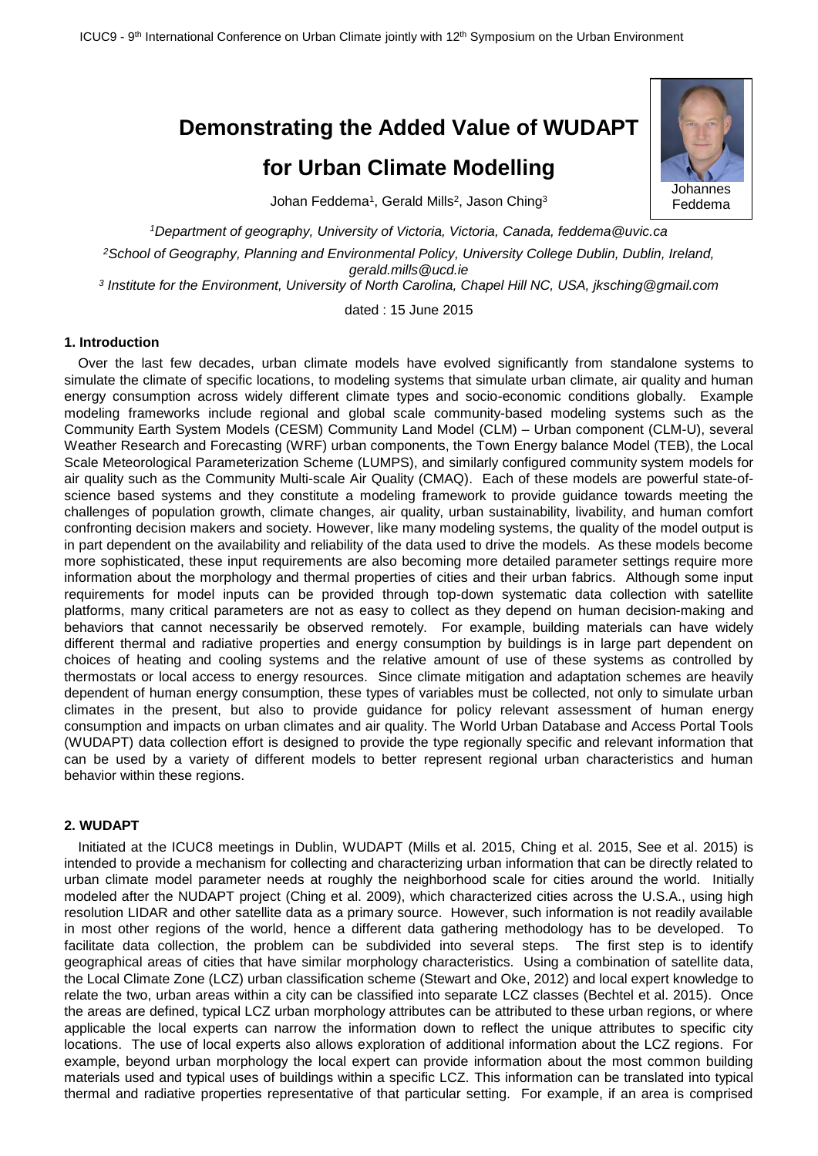# **Demonstrating the Added Value of WUDAPT**

# **for Urban Climate Modelling**



Johan Feddema<sup>1</sup>, Gerald Mills<sup>2</sup>, Jason Ching<sup>3</sup>

*<sup>1</sup>Department of geography, University of Victoria, Victoria, Canada, feddema@uvic.ca*

*<sup>2</sup>School of Geography, Planning and Environmental Policy, University College Dublin, Dublin, Ireland, gerald.mills@ucd.ie*

*3 Institute for the Environment, University of North Carolina, Chapel Hill NC, USA, jksching@gmail.com*

dated : 15 June 2015

## **1. Introduction**

Over the last few decades, urban climate models have evolved significantly from standalone systems to simulate the climate of specific locations, to modeling systems that simulate urban climate, air quality and human energy consumption across widely different climate types and socio-economic conditions globally. Example modeling frameworks include regional and global scale community-based modeling systems such as the Community Earth System Models (CESM) Community Land Model (CLM) – Urban component (CLM-U), several Weather Research and Forecasting (WRF) urban components, the Town Energy balance Model (TEB), the Local Scale Meteorological Parameterization Scheme (LUMPS), and similarly configured community system models for air quality such as the Community Multi-scale Air Quality (CMAQ). Each of these models are powerful state-ofscience based systems and they constitute a modeling framework to provide guidance towards meeting the challenges of population growth, climate changes, air quality, urban sustainability, livability, and human comfort confronting decision makers and society. However, like many modeling systems, the quality of the model output is in part dependent on the availability and reliability of the data used to drive the models. As these models become more sophisticated, these input requirements are also becoming more detailed parameter settings require more information about the morphology and thermal properties of cities and their urban fabrics. Although some input requirements for model inputs can be provided through top-down systematic data collection with satellite platforms, many critical parameters are not as easy to collect as they depend on human decision-making and behaviors that cannot necessarily be observed remotely. For example, building materials can have widely different thermal and radiative properties and energy consumption by buildings is in large part dependent on choices of heating and cooling systems and the relative amount of use of these systems as controlled by thermostats or local access to energy resources. Since climate mitigation and adaptation schemes are heavily dependent of human energy consumption, these types of variables must be collected, not only to simulate urban climates in the present, but also to provide guidance for policy relevant assessment of human energy consumption and impacts on urban climates and air quality. The World Urban Database and Access Portal Tools (WUDAPT) data collection effort is designed to provide the type regionally specific and relevant information that can be used by a variety of different models to better represent regional urban characteristics and human behavior within these regions.

### **2. WUDAPT**

Initiated at the ICUC8 meetings in Dublin, WUDAPT (Mills et al. 2015, Ching et al. 2015, See et al. 2015) is intended to provide a mechanism for collecting and characterizing urban information that can be directly related to urban climate model parameter needs at roughly the neighborhood scale for cities around the world. Initially modeled after the NUDAPT project (Ching et al. 2009), which characterized cities across the U.S.A., using high resolution LIDAR and other satellite data as a primary source. However, such information is not readily available in most other regions of the world, hence a different data gathering methodology has to be developed. To facilitate data collection, the problem can be subdivided into several steps. The first step is to identify geographical areas of cities that have similar morphology characteristics. Using a combination of satellite data, the Local Climate Zone (LCZ) urban classification scheme (Stewart and Oke, 2012) and local expert knowledge to relate the two, urban areas within a city can be classified into separate LCZ classes (Bechtel et al. 2015). Once the areas are defined, typical LCZ urban morphology attributes can be attributed to these urban regions, or where applicable the local experts can narrow the information down to reflect the unique attributes to specific city locations. The use of local experts also allows exploration of additional information about the LCZ regions. For example, beyond urban morphology the local expert can provide information about the most common building materials used and typical uses of buildings within a specific LCZ. This information can be translated into typical thermal and radiative properties representative of that particular setting. For example, if an area is comprised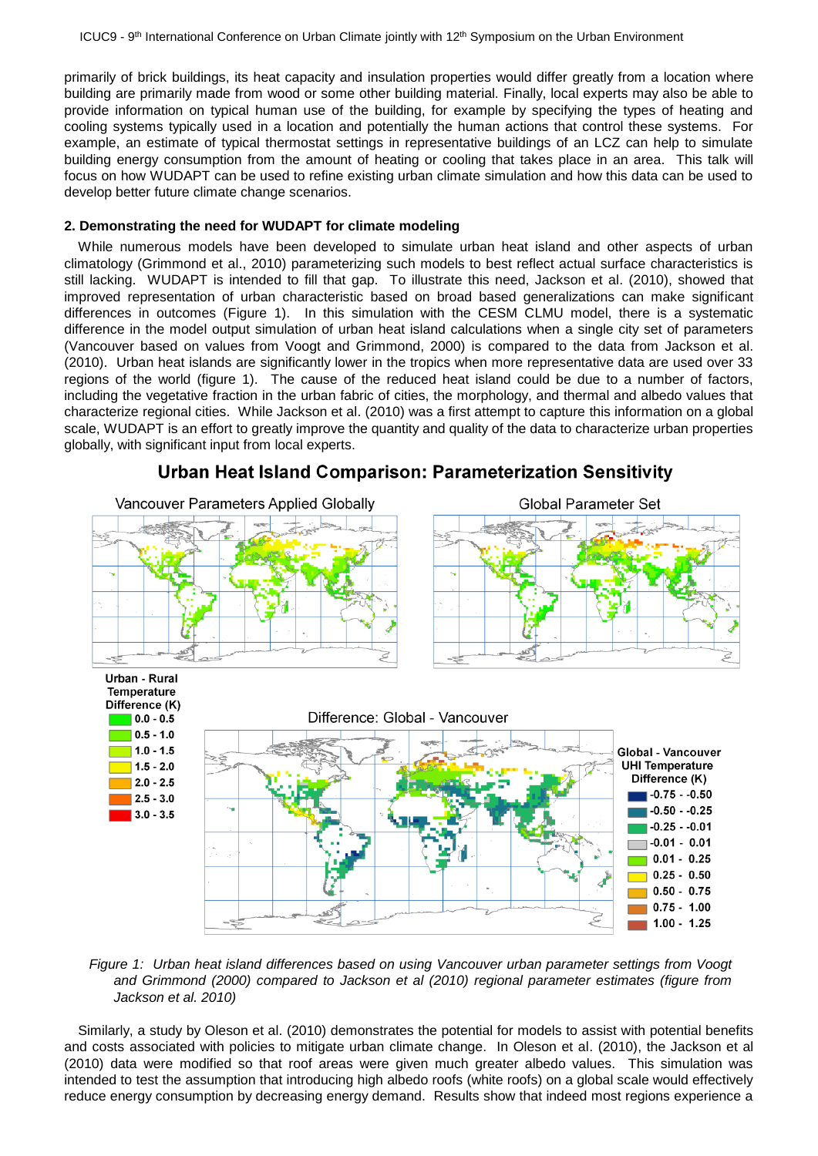primarily of brick buildings, its heat capacity and insulation properties would differ greatly from a location where building are primarily made from wood or some other building material. Finally, local experts may also be able to provide information on typical human use of the building, for example by specifying the types of heating and cooling systems typically used in a location and potentially the human actions that control these systems. For example, an estimate of typical thermostat settings in representative buildings of an LCZ can help to simulate building energy consumption from the amount of heating or cooling that takes place in an area. This talk will focus on how WUDAPT can be used to refine existing urban climate simulation and how this data can be used to develop better future climate change scenarios.

## **2. Demonstrating the need for WUDAPT for climate modeling**

While numerous models have been developed to simulate urban heat island and other aspects of urban climatology (Grimmond et al., 2010) parameterizing such models to best reflect actual surface characteristics is still lacking. WUDAPT is intended to fill that gap. To illustrate this need, Jackson et al. (2010), showed that improved representation of urban characteristic based on broad based generalizations can make significant differences in outcomes (Figure 1). In this simulation with the CESM CLMU model, there is a systematic difference in the model output simulation of urban heat island calculations when a single city set of parameters (Vancouver based on values from Voogt and Grimmond, 2000) is compared to the data from Jackson et al. (2010). Urban heat islands are significantly lower in the tropics when more representative data are used over 33 regions of the world (figure 1). The cause of the reduced heat island could be due to a number of factors, including the vegetative fraction in the urban fabric of cities, the morphology, and thermal and albedo values that characterize regional cities. While Jackson et al. (2010) was a first attempt to capture this information on a global scale, WUDAPT is an effort to greatly improve the quantity and quality of the data to characterize urban properties globally, with significant input from local experts.



Urban Heat Island Comparison: Parameterization Sensitivity

*Figure 1: Urban heat island differences based on using Vancouver urban parameter settings from Voogt and Grimmond (2000) compared to Jackson et al (2010) regional parameter estimates (figure from Jackson et al. 2010)*

Similarly, a study by Oleson et al. (2010) demonstrates the potential for models to assist with potential benefits and costs associated with policies to mitigate urban climate change. In Oleson et al. (2010), the Jackson et al (2010) data were modified so that roof areas were given much greater albedo values. This simulation was intended to test the assumption that introducing high albedo roofs (white roofs) on a global scale would effectively reduce energy consumption by decreasing energy demand. Results show that indeed most regions experience a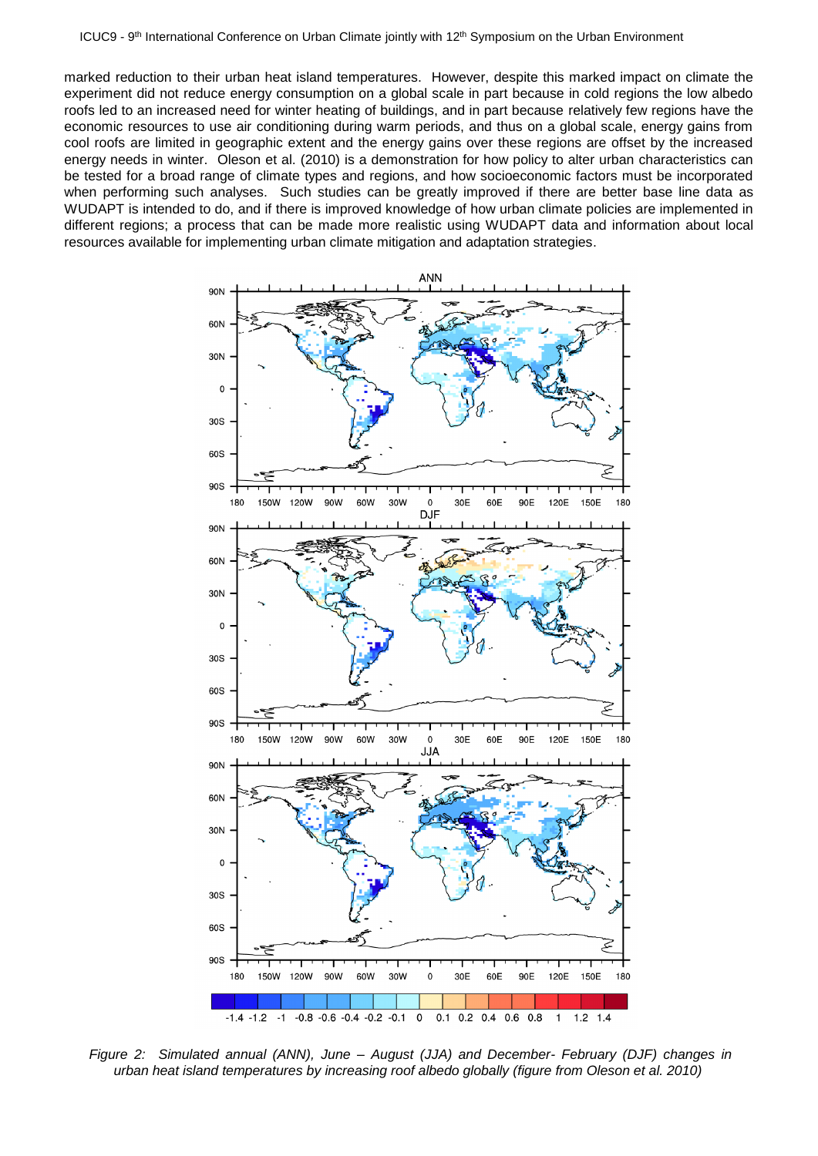marked reduction to their urban heat island temperatures. However, despite this marked impact on climate the experiment did not reduce energy consumption on a global scale in part because in cold regions the low albedo roofs led to an increased need for winter heating of buildings, and in part because relatively few regions have the economic resources to use air conditioning during warm periods, and thus on a global scale, energy gains from cool roofs are limited in geographic extent and the energy gains over these regions are offset by the increased energy needs in winter. Oleson et al. (2010) is a demonstration for how policy to alter urban characteristics can be tested for a broad range of climate types and regions, and how socioeconomic factors must be incorporated when performing such analyses. Such studies can be greatly improved if there are better base line data as WUDAPT is intended to do, and if there is improved knowledge of how urban climate policies are implemented in different regions; a process that can be made more realistic using WUDAPT data and information about local resources available for implementing urban climate mitigation and adaptation strategies.



*Figure 2: Simulated annual (ANN), June – August (JJA) and December- February (DJF) changes in urban heat island temperatures by increasing roof albedo globally (figure from Oleson et al. 2010)*